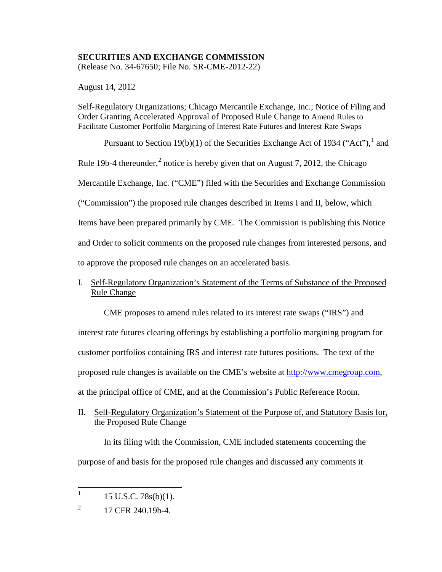## **SECURITIES AND EXCHANGE COMMISSION**

(Release No. 34-67650; File No. SR-CME-2012-22)

August 14, 2012

Self-Regulatory Organizations; Chicago Mercantile Exchange, Inc.; Notice of Filing and Order Granting Accelerated Approval of Proposed Rule Change to Amend Rules to Facilitate Customer Portfolio Margining of Interest Rate Futures and Interest Rate Swaps

Pursuant to Section [1](#page-0-0)9(b)(1) of the Securities Exchange Act of 1934 ("Act"),  $^1$  and Rule 19b-4 thereunder, $^2$  $^2$  notice is hereby given that on August 7, 2012, the Chicago Mercantile Exchange, Inc. ("CME") filed with the Securities and Exchange Commission ("Commission") the proposed rule changes described in Items I and II, below, which Items have been prepared primarily by CME. The Commission is publishing this Notice and Order to solicit comments on the proposed rule changes from interested persons, and to approve the proposed rule changes on an accelerated basis.

# I. Self-Regulatory Organization's Statement of the Terms of Substance of the Proposed Rule Change

CME proposes to amend rules related to its interest rate swaps ("IRS") and

interest rate futures clearing offerings by establishing a portfolio margining program for customer portfolios containing IRS and interest rate futures positions. The text of the proposed rule changes is available on the CME's website at [http://www.cmegroup.com,](http://www.cmegroup.com/)

at the principal office of CME, and at the Commission's Public Reference Room.

II. Self-Regulatory Organization's Statement of the Purpose of, and Statutory Basis for, the Proposed Rule Change

In its filing with the Commission, CME included statements concerning the purpose of and basis for the proposed rule changes and discussed any comments it

<span id="page-0-0"></span> $1 \quad 15 \text{ U.S.C. } 78 \text{s(b)}(1).$ 

<span id="page-0-1"></span> $^{2}$  17 CFR 240.19b-4.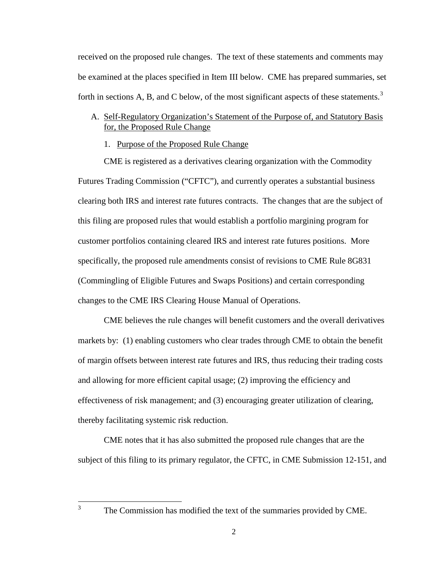received on the proposed rule changes. The text of these statements and comments may be examined at the places specified in Item III below. CME has prepared summaries, set forth in sections A, B, and C below, of the most significant aspects of these statements.<sup>[3](#page-1-0)</sup>

## A. Self-Regulatory Organization's Statement of the Purpose of, and Statutory Basis for, the Proposed Rule Change

## 1. Purpose of the Proposed Rule Change

CME is registered as a derivatives clearing organization with the Commodity Futures Trading Commission ("CFTC"), and currently operates a substantial business clearing both IRS and interest rate futures contracts. The changes that are the subject of this filing are proposed rules that would establish a portfolio margining program for customer portfolios containing cleared IRS and interest rate futures positions. More specifically, the proposed rule amendments consist of revisions to CME Rule 8G831 (Commingling of Eligible Futures and Swaps Positions) and certain corresponding changes to the CME IRS Clearing House Manual of Operations.

CME believes the rule changes will benefit customers and the overall derivatives markets by: (1) enabling customers who clear trades through CME to obtain the benefit of margin offsets between interest rate futures and IRS, thus reducing their trading costs and allowing for more efficient capital usage; (2) improving the efficiency and effectiveness of risk management; and (3) encouraging greater utilization of clearing, thereby facilitating systemic risk reduction.

CME notes that it has also submitted the proposed rule changes that are the subject of this filing to its primary regulator, the CFTC, in CME Submission 12-151, and

<span id="page-1-0"></span><sup>&</sup>lt;sup>3</sup> The Commission has modified the text of the summaries provided by CME.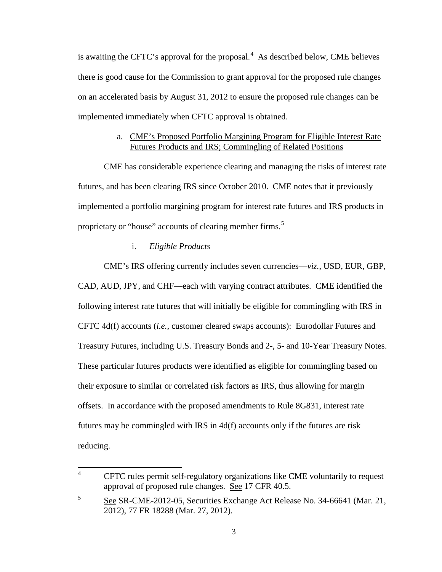is awaiting the CFTC's approval for the proposal.<sup>[4](#page-2-0)</sup> As described below, CME believes there is good cause for the Commission to grant approval for the proposed rule changes on an accelerated basis by August 31, 2012 to ensure the proposed rule changes can be implemented immediately when CFTC approval is obtained.

### a. CME's Proposed Portfolio Margining Program for Eligible Interest Rate Futures Products and IRS; Commingling of Related Positions

CME has considerable experience clearing and managing the risks of interest rate futures, and has been clearing IRS since October 2010. CME notes that it previously implemented a portfolio margining program for interest rate futures and IRS products in proprietary or "house" accounts of clearing member firms.<sup>[5](#page-2-1)</sup>

### i. *Eligible Products*

CME's IRS offering currently includes seven currencies—*viz.*, USD, EUR, GBP, CAD, AUD, JPY, and CHF—each with varying contract attributes. CME identified the following interest rate futures that will initially be eligible for commingling with IRS in CFTC 4d(f) accounts (*i.e.*, customer cleared swaps accounts): Eurodollar Futures and Treasury Futures, including U.S. Treasury Bonds and 2-, 5- and 10-Year Treasury Notes. These particular futures products were identified as eligible for commingling based on their exposure to similar or correlated risk factors as IRS, thus allowing for margin offsets. In accordance with the proposed amendments to Rule 8G831, interest rate futures may be commingled with IRS in 4d(f) accounts only if the futures are risk reducing.

<span id="page-2-0"></span><sup>&</sup>lt;sup>4</sup> CFTC rules permit self-regulatory organizations like CME voluntarily to request approval of proposed rule changes. See 17 CFR 40.5.

<span id="page-2-1"></span><sup>5</sup> See SR-CME-2012-05, Securities Exchange Act Release No. 34-66641 (Mar. 21, 2012), 77 FR 18288 (Mar. 27, 2012).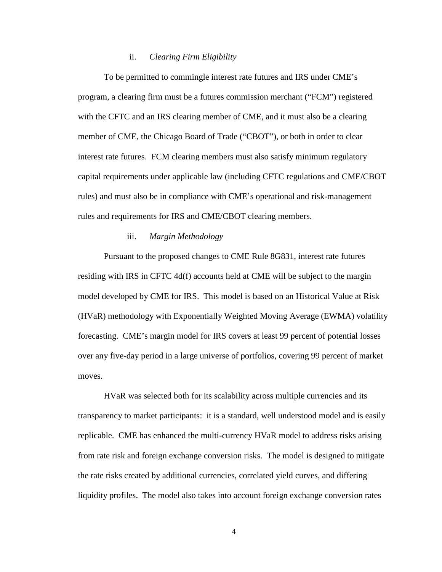#### ii. *Clearing Firm Eligibility*

To be permitted to commingle interest rate futures and IRS under CME's program, a clearing firm must be a futures commission merchant ("FCM") registered with the CFTC and an IRS clearing member of CME, and it must also be a clearing member of CME, the Chicago Board of Trade ("CBOT"), or both in order to clear interest rate futures. FCM clearing members must also satisfy minimum regulatory capital requirements under applicable law (including CFTC regulations and CME/CBOT rules) and must also be in compliance with CME's operational and risk-management rules and requirements for IRS and CME/CBOT clearing members.

#### iii. *Margin Methodology*

Pursuant to the proposed changes to CME Rule 8G831, interest rate futures residing with IRS in CFTC 4d(f) accounts held at CME will be subject to the margin model developed by CME for IRS. This model is based on an Historical Value at Risk (HVaR) methodology with Exponentially Weighted Moving Average (EWMA) volatility forecasting. CME's margin model for IRS covers at least 99 percent of potential losses over any five-day period in a large universe of portfolios, covering 99 percent of market moves.

HVaR was selected both for its scalability across multiple currencies and its transparency to market participants: it is a standard, well understood model and is easily replicable. CME has enhanced the multi-currency HVaR model to address risks arising from rate risk and foreign exchange conversion risks. The model is designed to mitigate the rate risks created by additional currencies, correlated yield curves, and differing liquidity profiles. The model also takes into account foreign exchange conversion rates

4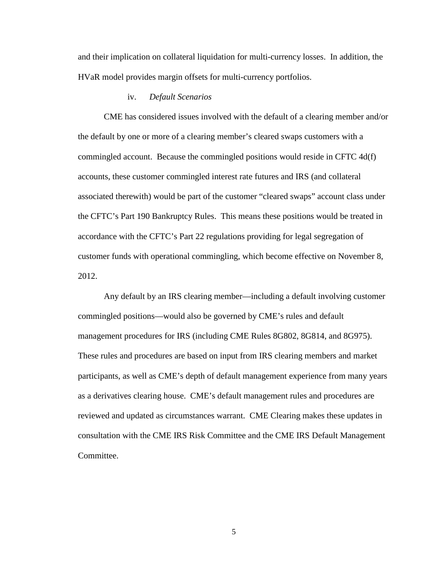and their implication on collateral liquidation for multi-currency losses. In addition, the HVaR model provides margin offsets for multi-currency portfolios.

### iv. *Default Scenarios*

CME has considered issues involved with the default of a clearing member and/or the default by one or more of a clearing member's cleared swaps customers with a commingled account. Because the commingled positions would reside in CFTC 4d(f) accounts, these customer commingled interest rate futures and IRS (and collateral associated therewith) would be part of the customer "cleared swaps" account class under the CFTC's Part 190 Bankruptcy Rules. This means these positions would be treated in accordance with the CFTC's Part 22 regulations providing for legal segregation of customer funds with operational commingling, which become effective on November 8, 2012.

Any default by an IRS clearing member—including a default involving customer commingled positions—would also be governed by CME's rules and default management procedures for IRS (including CME Rules 8G802, 8G814, and 8G975). These rules and procedures are based on input from IRS clearing members and market participants, as well as CME's depth of default management experience from many years as a derivatives clearing house. CME's default management rules and procedures are reviewed and updated as circumstances warrant. CME Clearing makes these updates in consultation with the CME IRS Risk Committee and the CME IRS Default Management Committee.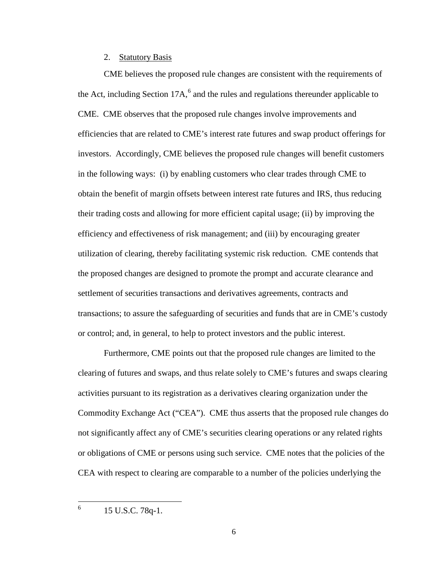### 2. Statutory Basis

CME believes the proposed rule changes are consistent with the requirements of the Act, including Section 17A, $<sup>6</sup>$  $<sup>6</sup>$  $<sup>6</sup>$  and the rules and regulations thereunder applicable to</sup> CME. CME observes that the proposed rule changes involve improvements and efficiencies that are related to CME's interest rate futures and swap product offerings for investors. Accordingly, CME believes the proposed rule changes will benefit customers in the following ways: (i) by enabling customers who clear trades through CME to obtain the benefit of margin offsets between interest rate futures and IRS, thus reducing their trading costs and allowing for more efficient capital usage; (ii) by improving the efficiency and effectiveness of risk management; and (iii) by encouraging greater utilization of clearing, thereby facilitating systemic risk reduction. CME contends that the proposed changes are designed to promote the prompt and accurate clearance and settlement of securities transactions and derivatives agreements, contracts and transactions; to assure the safeguarding of securities and funds that are in CME's custody or control; and, in general, to help to protect investors and the public interest.

Furthermore, CME points out that the proposed rule changes are limited to the clearing of futures and swaps, and thus relate solely to CME's futures and swaps clearing activities pursuant to its registration as a derivatives clearing organization under the Commodity Exchange Act ("CEA"). CME thus asserts that the proposed rule changes do not significantly affect any of CME's securities clearing operations or any related rights or obligations of CME or persons using such service. CME notes that the policies of the CEA with respect to clearing are comparable to a number of the policies underlying the

<span id="page-5-0"></span> $^{6}$  15 U.S.C. 78q-1.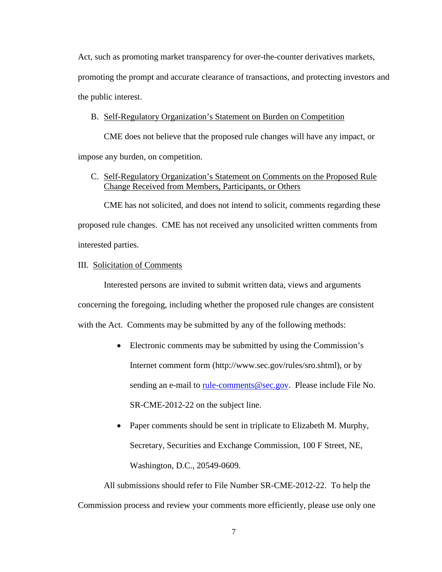Act, such as promoting market transparency for over-the-counter derivatives markets, promoting the prompt and accurate clearance of transactions, and protecting investors and the public interest.

### B. Self-Regulatory Organization's Statement on Burden on Competition

CME does not believe that the proposed rule changes will have any impact, or impose any burden, on competition.

## C. Self-Regulatory Organization's Statement on Comments on the Proposed Rule Change Received from Members, Participants, or Others

CME has not solicited, and does not intend to solicit, comments regarding these proposed rule changes. CME has not received any unsolicited written comments from interested parties.

#### III. Solicitation of Comments

Interested persons are invited to submit written data, views and arguments concerning the foregoing, including whether the proposed rule changes are consistent with the Act. Comments may be submitted by any of the following methods:

- Electronic comments may be submitted by using the Commission's Internet comment form (http://www.sec.gov/rules/sro.shtml), or by sending an e-mail to [rule-comments@sec.gov.](mailto:rule-comments@sec.gov) Please include File No. SR-CME-2012-22 on the subject line.
- Paper comments should be sent in triplicate to Elizabeth M. Murphy, Secretary, Securities and Exchange Commission, 100 F Street, NE, Washington, D.C., 20549-0609.

All submissions should refer to File Number SR-CME-2012-22. To help the Commission process and review your comments more efficiently, please use only one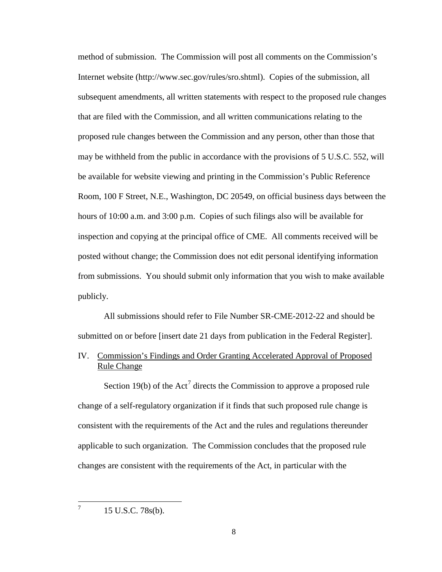method of submission. The Commission will post all comments on the Commission's Internet website (http://www.sec.gov/rules/sro.shtml). Copies of the submission, all subsequent amendments, all written statements with respect to the proposed rule changes that are filed with the Commission, and all written communications relating to the proposed rule changes between the Commission and any person, other than those that may be withheld from the public in accordance with the provisions of 5 U.S.C. 552, will be available for website viewing and printing in the Commission's Public Reference Room, 100 F Street, N.E., Washington, DC 20549, on official business days between the hours of 10:00 a.m. and 3:00 p.m. Copies of such filings also will be available for inspection and copying at the principal office of CME. All comments received will be posted without change; the Commission does not edit personal identifying information from submissions. You should submit only information that you wish to make available publicly.

All submissions should refer to File Number SR-CME-2012-22 and should be submitted on or before [insert date 21 days from publication in the Federal Register].

IV. Commission's Findings and Order Granting Accelerated Approval of Proposed Rule Change

Section 19(b) of the Act<sup>[7](#page-7-0)</sup> directs the Commission to approve a proposed rule change of a self-regulatory organization if it finds that such proposed rule change is consistent with the requirements of the Act and the rules and regulations thereunder applicable to such organization. The Commission concludes that the proposed rule changes are consistent with the requirements of the Act, in particular with the

<span id="page-7-0"></span> $^7$  15 U.S.C. 78s(b).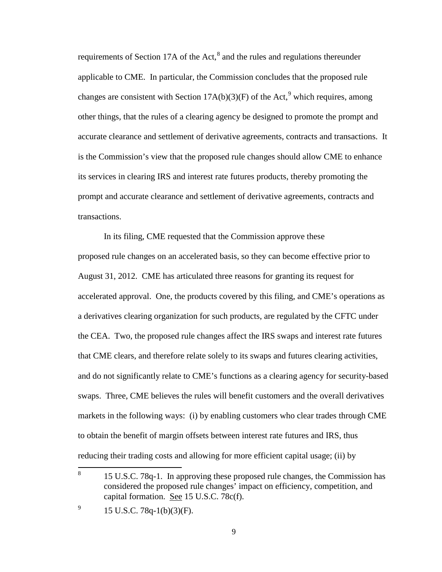requirements of Section 17A of the Act,<sup>[8](#page-8-0)</sup> and the rules and regulations thereunder applicable to CME. In particular, the Commission concludes that the proposed rule changes are consistent with Section  $17A(b)(3)(F)$  of the Act,<sup>[9](#page-8-1)</sup> which requires, among other things, that the rules of a clearing agency be designed to promote the prompt and accurate clearance and settlement of derivative agreements, contracts and transactions. It is the Commission's view that the proposed rule changes should allow CME to enhance its services in clearing IRS and interest rate futures products, thereby promoting the prompt and accurate clearance and settlement of derivative agreements, contracts and transactions.

In its filing, CME requested that the Commission approve these proposed rule changes on an accelerated basis, so they can become effective prior to August 31, 2012. CME has articulated three reasons for granting its request for accelerated approval. One, the products covered by this filing, and CME's operations as a derivatives clearing organization for such products, are regulated by the CFTC under the CEA. Two, the proposed rule changes affect the IRS swaps and interest rate futures that CME clears, and therefore relate solely to its swaps and futures clearing activities, and do not significantly relate to CME's functions as a clearing agency for security-based swaps. Three, CME believes the rules will benefit customers and the overall derivatives markets in the following ways: (i) by enabling customers who clear trades through CME to obtain the benefit of margin offsets between interest rate futures and IRS, thus reducing their trading costs and allowing for more efficient capital usage; (ii) by

<span id="page-8-0"></span><sup>&</sup>lt;sup>8</sup> 15 U.S.C. 78q-1. In approving these proposed rule changes, the Commission has considered the proposed rule changes' impact on efficiency, competition, and capital formation. See 15 U.S.C. 78c(f).

<span id="page-8-1"></span> $^{9}$  15 U.S.C. 78q-1(b)(3)(F).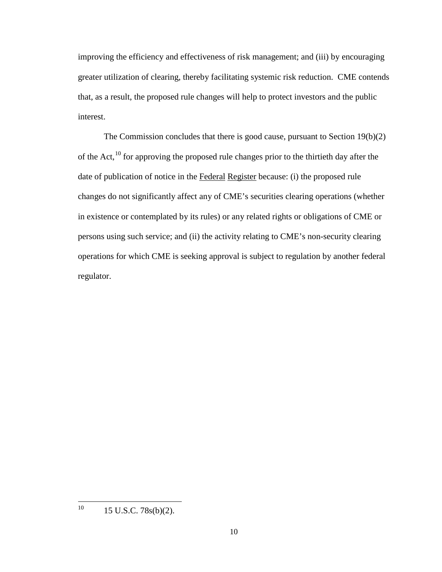improving the efficiency and effectiveness of risk management; and (iii) by encouraging greater utilization of clearing, thereby facilitating systemic risk reduction. CME contends that, as a result, the proposed rule changes will help to protect investors and the public interest.

The Commission concludes that there is good cause, pursuant to Section 19(b)(2) of the Act, $^{10}$  $^{10}$  $^{10}$  for approving the proposed rule changes prior to the thirtieth day after the date of publication of notice in the Federal Register because: (i) the proposed rule changes do not significantly affect any of CME's securities clearing operations (whether in existence or contemplated by its rules) or any related rights or obligations of CME or persons using such service; and (ii) the activity relating to CME's non-security clearing operations for which CME is seeking approval is subject to regulation by another federal regulator.

<span id="page-9-0"></span> $10$  15 U.S.C. 78s(b)(2).